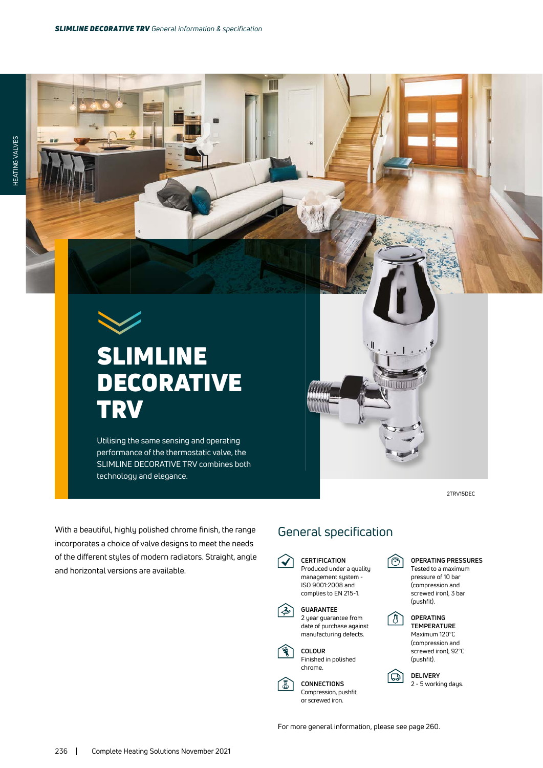T



## SLIMLINE DECORATIVE **TRV**

Utilising the same sensing and operating performance of the thermostatic valve, the SLIMLINE DECORATIVE TRV combines both technology and elegance.

With a beautiful, highly polished chrome finish, the range incorporates a choice of valve designs to meet the needs of the different styles of modern radiators. Straight, angle

and horizontal versions are available.

2TRV15DEC

## General specification

**CERTIFICATION**  $\checkmark$ Produced under a quality management system - ISO 9001:2008 and complies to EN 215-1. **GUARANTEE**  $\gg$ 2 year guarantee from date of purchase against manufacturing defects. **COLOUR** Finished in polished chrome.

信

**CONNECTIONS** Compression, pushfit or screwed iron.

ি

LBJ

向

Thurul



**OPERATING TEMPERATURE** Maximum 120°C (compression and screwed iron), 92°C (pushfit).

**DELIVERY** 2 - 5 working days.

For more general information, please see page 260.